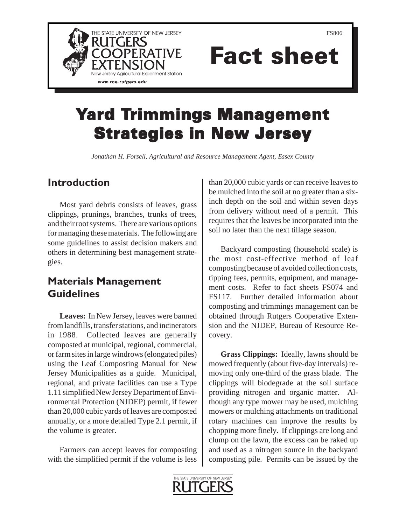



# Fact sheet

## **Yard Trimmings Management Strategies in New Jersey**

*Jonathan H. Forsell, Agricultural and Resource Management Agent, Essex County*

#### **Introduction**

Most yard debris consists of leaves, grass clippings, prunings, branches, trunks of trees, and their root systems. There are various options for managing these materials. The following are some guidelines to assist decision makers and others in determining best management strategies.

### **Materials Management Guidelines**

**Leaves:** In New Jersey, leaves were banned from landfills, transfer stations, and incinerators in 1988. Collected leaves are generally composted at municipal, regional, commercial, or farm sites in large windrows (elongated piles) using the Leaf Composting Manual for New Jersey Municipalities as a guide. Municipal, regional, and private facilities can use a Type 1.11 simplified New Jersey Department of Environmental Protection (NJDEP) permit, if fewer than 20,000 cubic yards of leaves are composted annually, or a more detailed Type 2.1 permit, if the volume is greater.

Farmers can accept leaves for composting with the simplified permit if the volume is less than 20,000 cubic yards or can receive leaves to be mulched into the soil at no greater than a sixinch depth on the soil and within seven days from delivery without need of a permit. This requires that the leaves be incorporated into the soil no later than the next tillage season.

Backyard composting (household scale) is the most cost-effective method of leaf composting because of avoided collection costs, tipping fees, permits, equipment, and management costs. Refer to fact sheets FS074 and FS117. Further detailed information about composting and trimmings management can be obtained through Rutgers Cooperative Extension and the NJDEP, Bureau of Resource Recovery.

**Grass Clippings:** Ideally, lawns should be mowed frequently (about five-day intervals) removing only one-third of the grass blade. The clippings will biodegrade at the soil surface providing nitrogen and organic matter. Although any type mower may be used, mulching mowers or mulching attachments on traditional rotary machines can improve the results by chopping more finely. If clippings are long and clump on the lawn, the excess can be raked up and used as a nitrogen source in the backyard composting pile. Permits can be issued by the